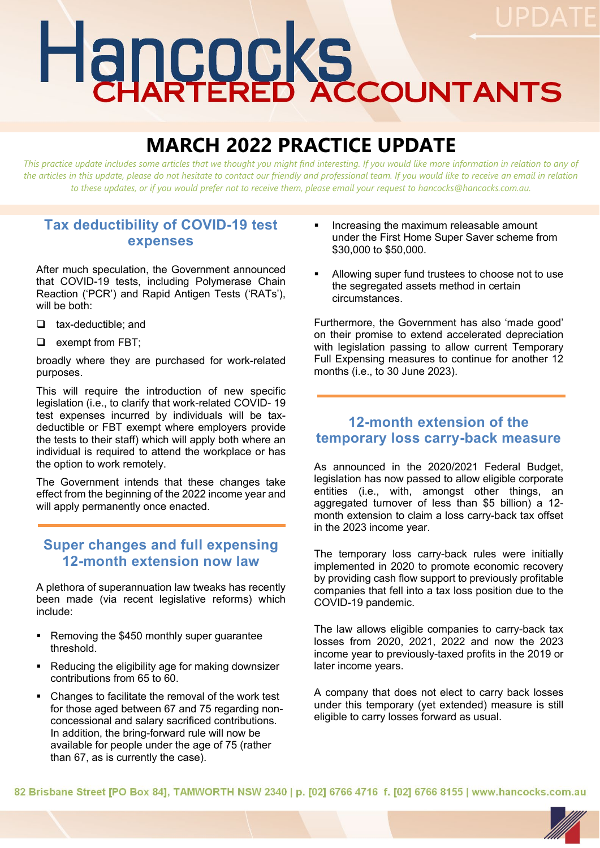# Hancocks

# **MARCH 2022 PRACTICE UPDATE**

This practice update includes some articles that we thought you might find interesting. If you would like more information in relation to any of *the articles in this update, please do not hesitate to contact our friendly and professional team. If you would like to receive an email in relation to these updates, or if you would prefer not to receive them, please email your request to hancocks@hancocks.com.au.* 

### **Tax deductibility of COVID-19 test expenses**

After much speculation, the Government announced that COVID-19 tests, including Polymerase Chain Reaction ('PCR') and Rapid Antigen Tests ('RATs'), will be both:

- $\Box$  tax-deductible; and
- $\Box$  exempt from FBT:

broadly where they are purchased for work-related purposes.

This will require the introduction of new specific legislation (i.e., to clarify that work-related COVID- 19 test expenses incurred by individuals will be taxdeductible or FBT exempt where employers provide the tests to their staff) which will apply both where an individual is required to attend the workplace or has the option to work remotely.

The Government intends that these changes take effect from the beginning of the 2022 income year and will apply permanently once enacted.

### **Super changes and full expensing 12-month extension now law**

A plethora of superannuation law tweaks has recently been made (via recent legislative reforms) which include:

- Removing the \$450 monthly super guarantee threshold.
- Reducing the eligibility age for making downsizer contributions from 65 to 60.
- Changes to facilitate the removal of the work test for those aged between 67 and 75 regarding nonconcessional and salary sacrificed contributions. In addition, the bring-forward rule will now be available for people under the age of 75 (rather than 67, as is currently the case).
- Increasing the maximum releasable amount under the First Home Super Saver scheme from \$30,000 to \$50,000.
- Allowing super fund trustees to choose not to use the segregated assets method in certain circumstances.

Furthermore, the Government has also 'made good' on their promise to extend accelerated depreciation with legislation passing to allow current Temporary Full Expensing measures to continue for another 12 months (i.e., to 30 June 2023).

#### **12-month extension of the temporary loss carry-back measure**

As announced in the 2020/2021 Federal Budget, legislation has now passed to allow eligible corporate entities (i.e., with, amongst other things, an aggregated turnover of less than \$5 billion) a 12 month extension to claim a loss carry-back tax offset in the 2023 income year.

The temporary loss carry-back rules were initially implemented in 2020 to promote economic recovery by providing cash flow support to previously profitable companies that fell into a tax loss position due to the COVID-19 pandemic.

The law allows eligible companies to carry-back tax losses from 2020, 2021, 2022 and now the 2023 income year to previously-taxed profits in the 2019 or later income years.

A company that does not elect to carry back losses under this temporary (yet extended) measure is still eligible to carry losses forward as usual.

82 Brisbane Street [PO Box 84], TAMWORTH NSW 2340 | p. [02] 6766 4716 f. [02] 6766 8155 | www.hancocks.com.au